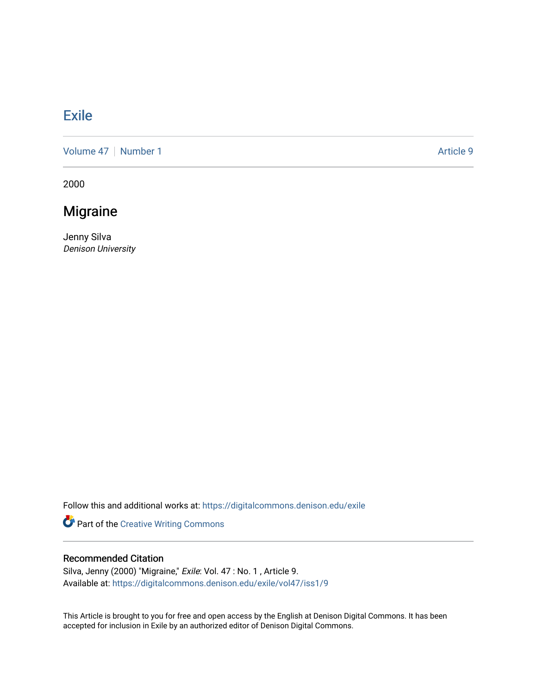## [Exile](https://digitalcommons.denison.edu/exile)

[Volume 47](https://digitalcommons.denison.edu/exile/vol47) | [Number 1](https://digitalcommons.denison.edu/exile/vol47/iss1) Article 9

2000

## Migraine

Jenny Silva Denison University

Follow this and additional works at: [https://digitalcommons.denison.edu/exile](https://digitalcommons.denison.edu/exile?utm_source=digitalcommons.denison.edu%2Fexile%2Fvol47%2Fiss1%2F9&utm_medium=PDF&utm_campaign=PDFCoverPages) 

Part of the [Creative Writing Commons](http://network.bepress.com/hgg/discipline/574?utm_source=digitalcommons.denison.edu%2Fexile%2Fvol47%2Fiss1%2F9&utm_medium=PDF&utm_campaign=PDFCoverPages) 

## Recommended Citation

Silva, Jenny (2000) "Migraine," Exile: Vol. 47 : No. 1, Article 9. Available at: [https://digitalcommons.denison.edu/exile/vol47/iss1/9](https://digitalcommons.denison.edu/exile/vol47/iss1/9?utm_source=digitalcommons.denison.edu%2Fexile%2Fvol47%2Fiss1%2F9&utm_medium=PDF&utm_campaign=PDFCoverPages) 

This Article is brought to you for free and open access by the English at Denison Digital Commons. It has been accepted for inclusion in Exile by an authorized editor of Denison Digital Commons.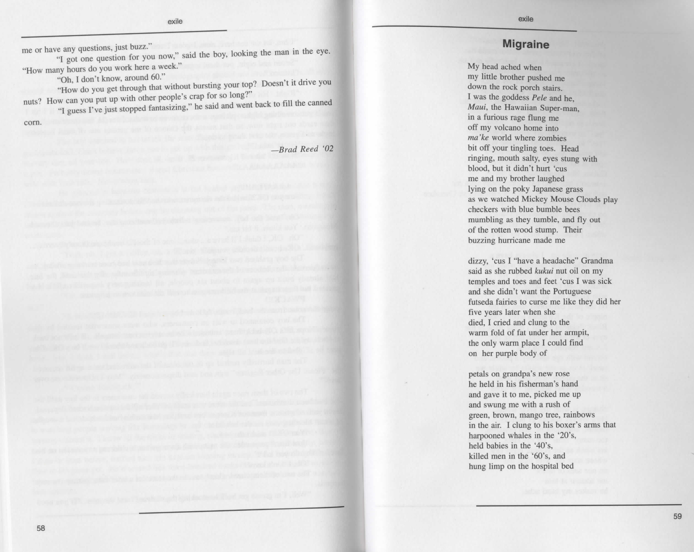## **Migraine**

My head ached when my little brother pushed me down the rock porch stairs. I was the goddess *Pele* and he, *Maui,* the Hawaiian Super-man, in a furious rage flung me off my volcano home into *ma'ke* world where zombies bit off your tingling toes. Head ringing, mouth salty, eyes stung with blood, but it didn't hurt 'cus me and my brother laughed lying on the poky Japanese grass as we watched Mickey Mouse Clouds play checkers with blue bumble bees mumbling as they tumble, and fly out of the rotten wood stump. Their buzzing hurricane made me

dizzy, 'cus I "have a headache" Grandma said as she rubbed *kukui* nut oil on my temples and toes and feet 'cus I was sick and she didn't want the Portuguese futseda fairies to curse me like they did her five years later when she died, I cried and clung to the warm fold of fat under her armpit, the only warm place I could find on her purple body of

petals on grandpa's new rose he held in his fisherman's hand and gave it to me, picked me up and swung me with a rush of green, brown, mango tree, rainbows in the air. I clung to his boxer's arms that harpooned whales in the '20's, held babies in the '40's, killed men in the '60's, and hung limp on the hospital bed

exile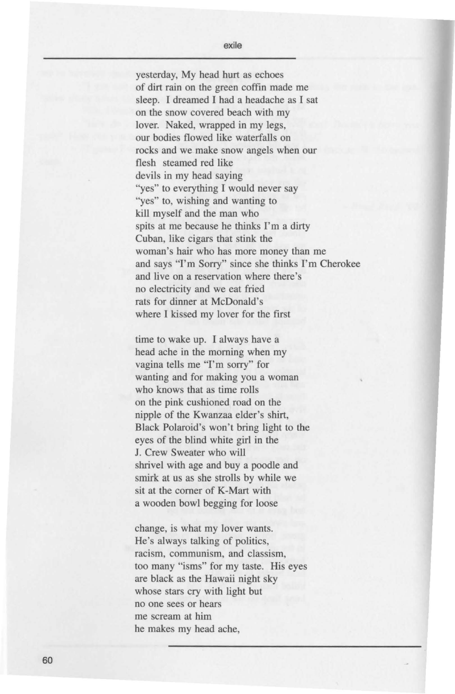yesterday, My head hurt as echoes of dirt rain on the green coffin made me sleep. I dreamed I had a headache as I sat on the snow covered beach with my lover. Naked, wrapped in my legs, our bodies flowed like waterfalls on rocks and we make snow angels when our flesh steamed red like devils in my head saying "yes" to everything I would never say "yes" to, wishing and wanting to kill myself and the man who spits at me because he thinks I'm a dirty Cuban, like cigars that stink the woman's hair who has more money than me and says "I'm Sorry" since she thinks I'm Cherokee and live on a reservation where there's no electricity and we eat fried rats for dinner at McDonald's where I kissed my Jover for the first

time to wake up. I always have a head ache in the morning when my vagina tells me "I'm sorry" for wanting and for making you a woman who knows that as time rolls on the pink cushioned road on the nipple of the Kwanzaa eider's shirt, Black Polaroid's won't bring light to the eyes of the blind white girl in the J. Crew Sweater who will shrivel with age and buy a poodle and smirk at us as she strolls by while we sit at the comer of K-Mart with a wooden bowl begging for loose

change, is what my lover wants. He's always talking of politics, racism, communism, and classism, too many "isms" for my taste. His eyes are black as the Hawaii night sky whose stars cry with light but no one sees or hears me scream at him he makes my head ache,